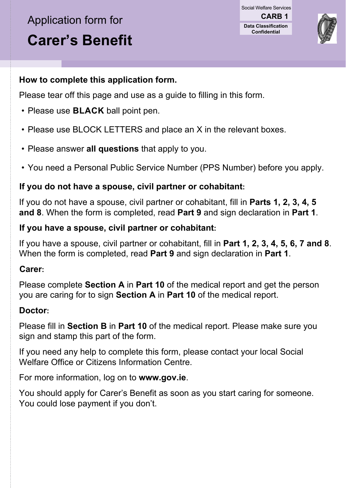## Application form for

## **Carer's Benefit**

**CARB 1** Social Welfare Services **Data Classification Confidential**



## **How to complete this application form.**

Please tear off this page and use as a guide to filling in this form.

- Please use **BLACK** ball point pen.
- Please use BLOCK LETTERS and place an X in the relevant boxes.
- Please answer **all questions** that apply to you.
- You need a Personal Public Service Number (PPS Number) before you apply.

### **If you do not have a spouse, civil partner or cohabitant:**

If you do not have a spouse, civil partner or cohabitant, fill in **Parts 1, 2, 3, 4, 5 and 8**. When the form is completed, read **Part 9** and sign declaration in **Part 1**.

### **If you have a spouse, civil partner or cohabitant:**

If you have a spouse, civil partner or cohabitant, fill in **Part 1, 2, 3, 4, 5, 6, 7 and 8**. When the form is completed, read **Part 9** and sign declaration in **Part 1**.

### **Carer:**

Please complete **Section A** in **Part 10** of the medical report and get the person you are caring for to sign **Section A** in **Part 10** of the medical report.

## **Doctor:**

Please fill in **Section B** in **Part 10** of the medical report. Please make sure you sign and stamp this part of the form.

If you need any help to complete this form, please contact your local Social Welfare Office or Citizens Information Centre.

For more information, log on to **www.gov.ie**.

You should apply for Carer's Benefit as soon as you start caring for someone. You could lose payment if you don't.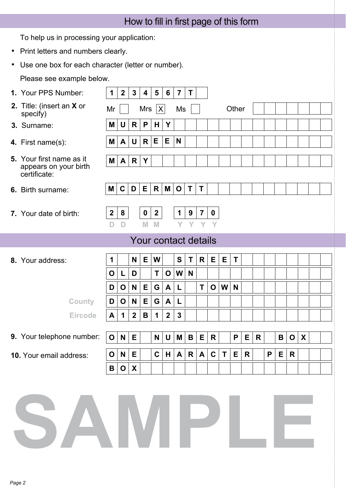## How to fill in first page of this form

To help us in processing your application:

- Print letters and numbers clearly.
- Use one box for each character (letter or number).

Please see example below.

|    | 1. Your PPS Number:                                                      | 1                     | $\mathbf{2}$ | 3                | 4                | 5                    | 6           | 7           | Τ            |                         |   |   |       |   |   |   |   |             |   |  |
|----|--------------------------------------------------------------------------|-----------------------|--------------|------------------|------------------|----------------------|-------------|-------------|--------------|-------------------------|---|---|-------|---|---|---|---|-------------|---|--|
|    | 2. Title: (insert an <b>X</b> or<br>specify)                             | Mr                    |              |                  | Mrs              | X                    |             | Ms          |              |                         |   |   | Other |   |   |   |   |             |   |  |
| 3. | Surname:                                                                 | M                     | U            | R                | P                | H                    | Y           |             |              |                         |   |   |       |   |   |   |   |             |   |  |
|    | 4. First name(s):                                                        | M                     | A            | U                | R                | E                    | Е           | N           |              |                         |   |   |       |   |   |   |   |             |   |  |
|    | <b>5.</b> Your first name as it<br>appears on your birth<br>certificate: | М                     | $\mathsf{A}$ | R                | Y                |                      |             |             |              |                         |   |   |       |   |   |   |   |             |   |  |
| 6. | Birth surname:                                                           | M                     | $\mathbf c$  | D                | E                | R                    | M           | $\mathbf 0$ | $\mathsf{T}$ | $\mathbf T$             |   |   |       |   |   |   |   |             |   |  |
|    | 7. Your date of birth:                                                   | $\boldsymbol{2}$<br>D | 8<br>D       |                  | $\mathbf 0$<br>M | $\mathbf{2}$<br>M    |             | 1<br>Y      | 9            | $\overline{\mathbf{7}}$ | 0 |   |       |   |   |   |   |             |   |  |
|    |                                                                          |                       |              |                  |                  | Your contact details |             |             |              |                         |   |   |       |   |   |   |   |             |   |  |
|    | 8. Your address:                                                         | 1                     |              | N                | E                | W                    |             | $\mathbf S$ | T            | $\mathsf{R}$            | E | E | T     |   |   |   |   |             |   |  |
|    |                                                                          | O                     | L            | D                |                  | Т                    | O           | W           | N            |                         |   |   |       |   |   |   |   |             |   |  |
|    |                                                                          | D                     | O            | N                | E.               | G                    | A           | L           |              | T                       | O | W | N     |   |   |   |   |             |   |  |
|    | <b>County</b>                                                            | D                     | $\mathbf O$  | N                | Е                | G                    | A           | L           |              |                         |   |   |       |   |   |   |   |             |   |  |
|    | <b>Eircode</b>                                                           | A                     | 1            | $\boldsymbol{2}$ | В                | 1                    | $\mathbf 2$ | 3           |              |                         |   |   |       |   |   |   |   |             |   |  |
|    | <b>9.</b> Your telephone number:                                         | O                     | N            | Е                |                  | N                    | U           | M           | B            | E                       | R |   | P     | E | R |   | B | $\mathbf O$ | X |  |
|    |                                                                          |                       |              |                  |                  | C                    | H           | A           | R            | A                       | C | Τ | Е     | R |   | P | Е | R           |   |  |
|    |                                                                          |                       |              |                  |                  |                      |             |             |              |                         |   |   |       |   |   |   |   |             |   |  |
|    | <b>10.</b> Your email address:                                           | Ο                     | N            | Е<br>B O X       |                  |                      |             |             |              |                         |   |   |       |   |   |   |   |             |   |  |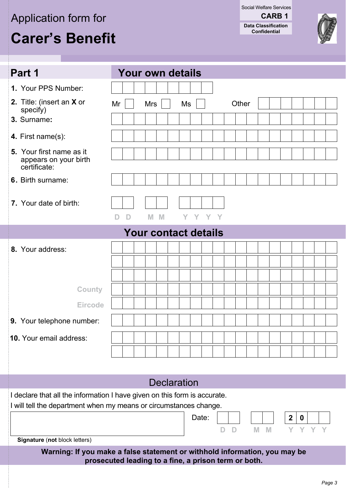## Application form for

# **Carer's Benefit**

**CARB 1** Social Welfare Services

**Data Classification Confidential**



| Part 1                                                            | <b>Your own details</b>                                                                                                                        |
|-------------------------------------------------------------------|------------------------------------------------------------------------------------------------------------------------------------------------|
| 1. Your PPS Number:                                               |                                                                                                                                                |
| 2. Title: (insert an <b>X</b> or<br>specify)                      | Mr<br>Ms<br>Other<br>Mrs                                                                                                                       |
| 3. Surname:                                                       |                                                                                                                                                |
| 4. First name(s):                                                 |                                                                                                                                                |
| 5. Your first name as it<br>appears on your birth<br>certificate: |                                                                                                                                                |
| 6. Birth surname:                                                 |                                                                                                                                                |
| 7. Your date of birth:                                            | $\Box$<br>M<br>Y Y Y<br>M<br>D                                                                                                                 |
|                                                                   | <b>Your contact details</b>                                                                                                                    |
|                                                                   |                                                                                                                                                |
| 8. Your address:                                                  |                                                                                                                                                |
|                                                                   |                                                                                                                                                |
| <b>County</b>                                                     |                                                                                                                                                |
| <b>Eircode</b>                                                    |                                                                                                                                                |
| 9. Your telephone number:                                         |                                                                                                                                                |
| 10. Your email address:                                           |                                                                                                                                                |
|                                                                   |                                                                                                                                                |
|                                                                   |                                                                                                                                                |
|                                                                   | <b>Declaration</b>                                                                                                                             |
|                                                                   | I declare that all the information I have given on this form is accurate.<br>I will tell the department when my means or circumstances change. |
|                                                                   | Date:<br>$\mathbf{2}$<br>$\mathbf 0$<br>M<br>M<br>Y<br>Y<br>D<br>D                                                                             |
| Signature (not block letters)                                     |                                                                                                                                                |
|                                                                   | Warning: If you make a false statement or withhold information, you may be<br>prosecuted leading to a fine, a prison term or both.             |
|                                                                   |                                                                                                                                                |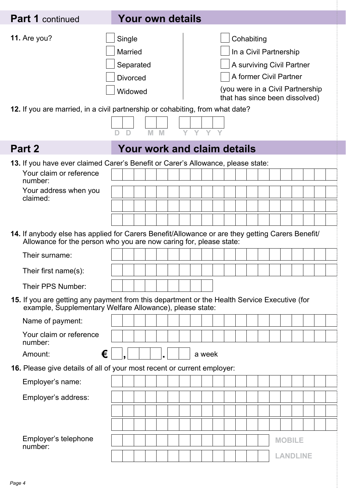| <b>Part 1</b> continued                                                 | <b>Your own details</b>                                                                                                                                                                                                                                                                                            |
|-------------------------------------------------------------------------|--------------------------------------------------------------------------------------------------------------------------------------------------------------------------------------------------------------------------------------------------------------------------------------------------------------------|
| <b>11.</b> Are you?                                                     | Cohabiting<br>Single<br>Married<br>In a Civil Partnership<br>Separated<br>A surviving Civil Partner<br>A former Civil Partner<br><b>Divorced</b><br>(you were in a Civil Partnership<br>Widowed<br>that has since been dissolved)<br>12. If you are married, in a civil partnership or cohabiting, from what date? |
|                                                                         | Y<br>$M$ M<br>D                                                                                                                                                                                                                                                                                                    |
| Part 2                                                                  | <b>Your work and claim details</b>                                                                                                                                                                                                                                                                                 |
| Your claim or reference<br>number:<br>Your address when you<br>claimed: | 13. If you have ever claimed Carer's Benefit or Carer's Allowance, please state:                                                                                                                                                                                                                                   |
|                                                                         | 14. If anybody else has applied for Carers Benefit/Allowance or are they getting Carers Benefit/<br>Allowance for the person who you are now caring for, please state:                                                                                                                                             |
| Their surname:                                                          |                                                                                                                                                                                                                                                                                                                    |
| Their first name(s):                                                    |                                                                                                                                                                                                                                                                                                                    |
| Their PPS Number:                                                       |                                                                                                                                                                                                                                                                                                                    |
|                                                                         | 15. If you are getting any payment from this department or the Health Service Executive (for<br>example, Supplementary Welfare Allowance), please state:                                                                                                                                                           |
| Name of payment:                                                        |                                                                                                                                                                                                                                                                                                                    |
| Your claim or reference<br>number:                                      |                                                                                                                                                                                                                                                                                                                    |
| Amount:                                                                 | €<br>a week                                                                                                                                                                                                                                                                                                        |
|                                                                         | <b>16.</b> Please give details of all of your most recent or current employer:                                                                                                                                                                                                                                     |
| Employer's name:                                                        |                                                                                                                                                                                                                                                                                                                    |
| Employer's address:                                                     |                                                                                                                                                                                                                                                                                                                    |
|                                                                         |                                                                                                                                                                                                                                                                                                                    |
|                                                                         |                                                                                                                                                                                                                                                                                                                    |
| Employer's telephone<br>number:                                         | <b>MOBILE</b>                                                                                                                                                                                                                                                                                                      |
|                                                                         | <b>LANDLINE</b>                                                                                                                                                                                                                                                                                                    |

T.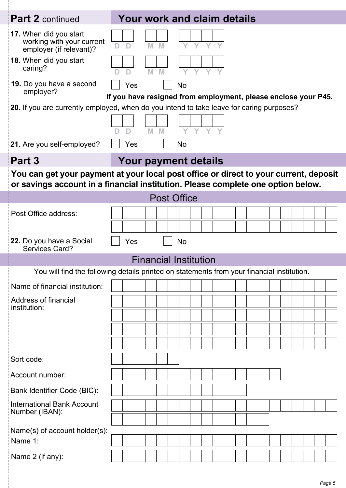| <b>Part 2</b> continued                                                                                                                                                   |     |                    | <b>Your work and claim details</b>                                          |  |  |
|---------------------------------------------------------------------------------------------------------------------------------------------------------------------------|-----|--------------------|-----------------------------------------------------------------------------|--|--|
| 17. When did you start<br>working with your current<br>employer (if relevant)?                                                                                            |     | M<br>M             | $\overline{\mathsf{V}}$<br>Y<br>$\overline{V}$                              |  |  |
| 18. When did you start<br>caring?                                                                                                                                         |     | M<br>M             |                                                                             |  |  |
| 19. Do you have a second<br>employer?                                                                                                                                     | Yes |                    | <b>No</b><br>If you have resigned from employment, please enclose your P45. |  |  |
| 20. If you are currently employed, when do you intend to take leave for caring purposes?                                                                                  |     |                    |                                                                             |  |  |
|                                                                                                                                                                           |     | M<br>M             | Y Y                                                                         |  |  |
| 21. Are you self-employed?                                                                                                                                                | Yes |                    | <b>No</b>                                                                   |  |  |
| Part 3                                                                                                                                                                    |     |                    | Your payment details                                                        |  |  |
| You can get your payment at your local post office or direct to your current, deposit<br>or savings account in a financial institution. Please complete one option below. |     |                    |                                                                             |  |  |
|                                                                                                                                                                           |     | <b>Post Office</b> |                                                                             |  |  |
| Post Office address:                                                                                                                                                      |     |                    |                                                                             |  |  |
|                                                                                                                                                                           |     |                    |                                                                             |  |  |
| 22. Do you have a Social<br>Services Card?                                                                                                                                | Yes |                    | <b>No</b>                                                                   |  |  |
|                                                                                                                                                                           |     |                    | <b>Financial Institution</b>                                                |  |  |
| You will find the following details printed on statements from your financial institution.                                                                                |     |                    |                                                                             |  |  |
| Name of financial institution:                                                                                                                                            |     |                    |                                                                             |  |  |
| <b>Address of financial</b><br>institution:                                                                                                                               |     |                    |                                                                             |  |  |
|                                                                                                                                                                           |     |                    |                                                                             |  |  |
|                                                                                                                                                                           |     |                    |                                                                             |  |  |
|                                                                                                                                                                           |     |                    |                                                                             |  |  |
| Sort code:                                                                                                                                                                |     |                    |                                                                             |  |  |
| Account number:                                                                                                                                                           |     |                    |                                                                             |  |  |
| Bank Identifier Code (BIC):                                                                                                                                               |     |                    |                                                                             |  |  |
| <b>International Bank Account</b><br>Number (IBAN):                                                                                                                       |     |                    |                                                                             |  |  |
|                                                                                                                                                                           |     |                    |                                                                             |  |  |
| Name(s) of account holder(s):<br>Name 1:                                                                                                                                  |     |                    |                                                                             |  |  |

T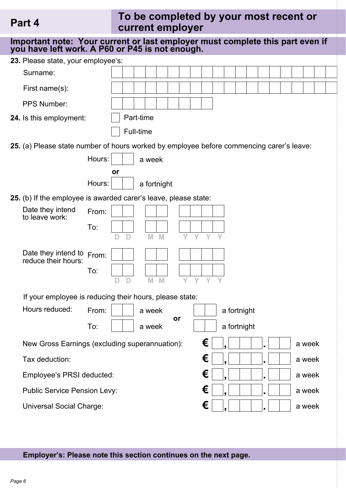# **Part 4 To be completed by your most recent or current employer**

| Important note: Your current or last employer must complete this part even if<br>you have left work. A P60 or P45 is not enough. |        |    |           |               |    |   |   |             |  |                |  |        |  |
|----------------------------------------------------------------------------------------------------------------------------------|--------|----|-----------|---------------|----|---|---|-------------|--|----------------|--|--------|--|
| 23. Please state, your employee's:                                                                                               |        |    |           |               |    |   |   |             |  |                |  |        |  |
| Surname:                                                                                                                         |        |    |           |               |    |   |   |             |  |                |  |        |  |
| First name(s):                                                                                                                   |        |    |           |               |    |   |   |             |  |                |  |        |  |
| PPS Number:                                                                                                                      |        |    |           |               |    |   |   |             |  |                |  |        |  |
| 24. Is this employment:                                                                                                          |        |    | Part-time |               |    |   |   |             |  |                |  |        |  |
|                                                                                                                                  |        |    | Full-time |               |    |   |   |             |  |                |  |        |  |
| 25. (a) Please state number of hours worked by employee before commencing carer's leave:                                         |        |    |           |               |    |   |   |             |  |                |  |        |  |
|                                                                                                                                  | Hours: |    |           | a week        |    |   |   |             |  |                |  |        |  |
|                                                                                                                                  |        | or |           |               |    |   |   |             |  |                |  |        |  |
|                                                                                                                                  | Hours: |    |           | a fortnight   |    |   |   |             |  |                |  |        |  |
| 25. (b) If the employee is awarded carer's leave, please state:                                                                  |        |    |           |               |    |   |   |             |  |                |  |        |  |
| Date they intend<br>to leave work:                                                                                               | From:  |    |           |               |    |   |   |             |  |                |  |        |  |
|                                                                                                                                  | To:    |    |           |               |    |   |   |             |  |                |  |        |  |
|                                                                                                                                  |        | D  | D         | M<br>M        |    |   |   |             |  |                |  |        |  |
| Date they intend to<br>reduce their hours:                                                                                       | From:  |    |           |               |    |   |   |             |  |                |  |        |  |
|                                                                                                                                  | To:    |    |           |               |    |   |   |             |  |                |  |        |  |
|                                                                                                                                  |        |    | D         | <b>M</b><br>M |    | Y |   |             |  |                |  |        |  |
| If your employee is reducing their hours, please state:                                                                          |        |    |           |               |    |   |   |             |  |                |  |        |  |
| Hours reduced: From:                                                                                                             |        |    |           | a week        |    |   |   | a fortnight |  |                |  |        |  |
|                                                                                                                                  | To:    |    |           | a week        | or |   |   | a fortnight |  |                |  |        |  |
| New Gross Earnings (excluding superannuation):                                                                                   |        |    |           |               |    |   | € |             |  |                |  | a week |  |
| Tax deduction:                                                                                                                   |        |    |           |               |    |   | € |             |  | $\blacksquare$ |  | a week |  |
| Employee's PRSI deducted:                                                                                                        |        |    |           |               |    |   | € |             |  | $\blacksquare$ |  | a week |  |
| <b>Public Service Pension Levy:</b>                                                                                              |        |    |           |               |    |   | € |             |  | $\blacksquare$ |  | a week |  |
| <b>Universal Social Charge:</b>                                                                                                  |        |    |           |               |    |   | € |             |  | $\blacksquare$ |  | a week |  |

**Employer's: Please note this section continues on the next page.**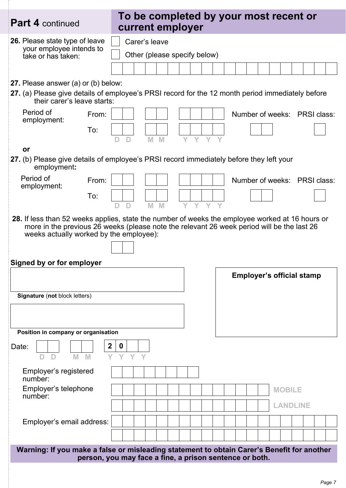| <b>Part 4</b> continued                                                     | To be completed by your most recent or<br>current employer                                                                                            |
|-----------------------------------------------------------------------------|-------------------------------------------------------------------------------------------------------------------------------------------------------|
| <b>26.</b> Please state type of leave<br>your employee intends to           | Carer's leave                                                                                                                                         |
| take or has taken:                                                          | Other (please specify below)                                                                                                                          |
|                                                                             |                                                                                                                                                       |
| 27. Please answer (a) or (b) below:<br>their carer's leave starts:          | 27. (a) Please give details of employee's PRSI record for the 12 month period immediately before                                                      |
| Period of<br>From:<br>employment:                                           | Number of weeks: PRSI class:                                                                                                                          |
| To:                                                                         | M                                                                                                                                                     |
| or                                                                          |                                                                                                                                                       |
| employment:                                                                 | 27. (b) Please give details of employee's PRSI record immediately before they left your                                                               |
| Period of<br>From:<br>employment:                                           | Number of weeks: PRSI class:                                                                                                                          |
| To:                                                                         | M<br>M<br>D                                                                                                                                           |
| weeks actually worked by the employee):<br><b>Signed by or for employer</b> |                                                                                                                                                       |
|                                                                             | <b>Employer's official stamp</b>                                                                                                                      |
| Signature (not block letters)                                               |                                                                                                                                                       |
|                                                                             |                                                                                                                                                       |
| Position in company or organisation                                         |                                                                                                                                                       |
| $\mathbf 2$<br>Date:<br>M<br>M<br>D                                         | 0<br>Y.                                                                                                                                               |
| Employer's registered<br>number:                                            |                                                                                                                                                       |
| Employer's telephone<br>number:                                             | <b>MOBILE</b>                                                                                                                                         |
|                                                                             | <b>LANDLINE</b>                                                                                                                                       |
| Employer's email address:                                                   |                                                                                                                                                       |
|                                                                             |                                                                                                                                                       |
|                                                                             | Warning: If you make a false or misleading statement to obtain Carer's Benefit for another<br>person, you may face a fine, a prison sentence or both. |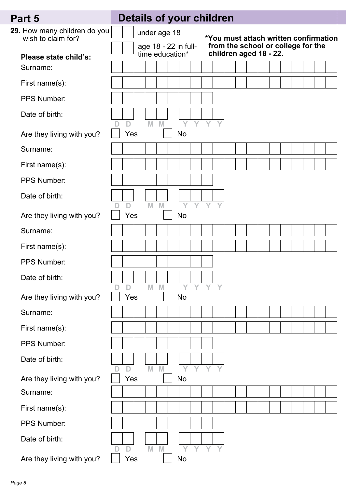| Part 5                                                     |   |              |                 |   | <b>Details of your children</b> |       |   |  |  |                        |  |                                       |  |
|------------------------------------------------------------|---|--------------|-----------------|---|---------------------------------|-------|---|--|--|------------------------|--|---------------------------------------|--|
| 29. How many children do you $\vert$<br>wish to claim for? |   |              | under age 18    |   |                                 |       |   |  |  |                        |  | *You must attach written confirmation |  |
|                                                            |   |              | time education* |   | age 18 - 22 in full-            |       |   |  |  | children aged 18 - 22. |  | from the school or college for the    |  |
| Please state child's:<br>Surname:                          |   |              |                 |   |                                 |       |   |  |  |                        |  |                                       |  |
| First name(s):                                             |   |              |                 |   |                                 |       |   |  |  |                        |  |                                       |  |
| PPS Number:                                                |   |              |                 |   |                                 |       |   |  |  |                        |  |                                       |  |
| Date of birth:                                             | D | D            | M               | M | Y                               | Y     | Y |  |  |                        |  |                                       |  |
| Are they living with you?                                  |   | Yes          |                 |   | <b>No</b>                       |       |   |  |  |                        |  |                                       |  |
| Surname:                                                   |   |              |                 |   |                                 |       |   |  |  |                        |  |                                       |  |
| First name(s):                                             |   |              |                 |   |                                 |       |   |  |  |                        |  |                                       |  |
| PPS Number:                                                |   |              |                 |   |                                 |       |   |  |  |                        |  |                                       |  |
| Date of birth:                                             |   | $\mathbf{D}$ | M               | M | Y                               | Y Y Y |   |  |  |                        |  |                                       |  |
| Are they living with you?                                  |   | Yes          |                 |   | No                              |       |   |  |  |                        |  |                                       |  |
| Surname:                                                   |   |              |                 |   |                                 |       |   |  |  |                        |  |                                       |  |
| First name(s):                                             |   |              |                 |   |                                 |       |   |  |  |                        |  |                                       |  |
| PPS Number:                                                |   |              |                 |   |                                 |       |   |  |  |                        |  |                                       |  |
| Date of birth:                                             |   | D D          | $M$ $M$         |   | Y Y Y Y                         |       |   |  |  |                        |  |                                       |  |
| Are they living with you?                                  |   | Yes          |                 |   | No                              |       |   |  |  |                        |  |                                       |  |
| Surname:                                                   |   |              |                 |   |                                 |       |   |  |  |                        |  |                                       |  |
| First name(s):                                             |   |              |                 |   |                                 |       |   |  |  |                        |  |                                       |  |
| PPS Number:                                                |   |              |                 |   |                                 |       |   |  |  |                        |  |                                       |  |
| Date of birth:                                             | D | $\mathsf{D}$ | M               | M | Y                               | Y     |   |  |  |                        |  |                                       |  |
| Are they living with you?                                  |   | Yes          |                 |   | No                              |       |   |  |  |                        |  |                                       |  |
| Surname:                                                   |   |              |                 |   |                                 |       |   |  |  |                        |  |                                       |  |
| First name(s):                                             |   |              |                 |   |                                 |       |   |  |  |                        |  |                                       |  |
| PPS Number:                                                |   |              |                 |   |                                 |       |   |  |  |                        |  |                                       |  |
| Date of birth:                                             |   | $\mathsf{D}$ | M               | M | Y                               | $Y -$ | Y |  |  |                        |  |                                       |  |
| Are they living with you?                                  |   | Yes          |                 |   | No                              |       |   |  |  |                        |  |                                       |  |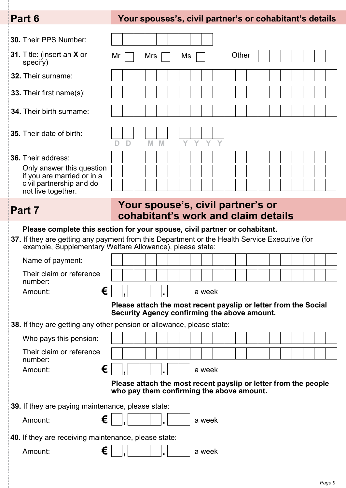## Part 6 Your spouses's, civil partner's or cohabitant's details

| <b>30. Their PPS Number:</b>                                                                                                                                                                                                                                                                       |    |                                                                                                                 |     |   |    |   |        |  |       |  |  |  |  |
|----------------------------------------------------------------------------------------------------------------------------------------------------------------------------------------------------------------------------------------------------------------------------------------------------|----|-----------------------------------------------------------------------------------------------------------------|-----|---|----|---|--------|--|-------|--|--|--|--|
| <b>31.</b> Title: (insert an <b>X</b> or<br>specify)                                                                                                                                                                                                                                               | Mr |                                                                                                                 | Mrs |   | Ms |   |        |  | Other |  |  |  |  |
| <b>32.</b> Their surname:                                                                                                                                                                                                                                                                          |    |                                                                                                                 |     |   |    |   |        |  |       |  |  |  |  |
| <b>33.</b> Their first name(s):                                                                                                                                                                                                                                                                    |    |                                                                                                                 |     |   |    |   |        |  |       |  |  |  |  |
| <b>34.</b> Their birth surname:                                                                                                                                                                                                                                                                    |    |                                                                                                                 |     |   |    |   |        |  |       |  |  |  |  |
| <b>35.</b> Their date of birth:                                                                                                                                                                                                                                                                    | D  | D                                                                                                               | M   | M | Y  | Y | Y      |  |       |  |  |  |  |
| 36. Their address:<br>Only answer this question<br>if you are married or in a<br>civil partnership and do<br>not live together.                                                                                                                                                                    |    |                                                                                                                 |     |   |    |   |        |  |       |  |  |  |  |
| Part 7                                                                                                                                                                                                                                                                                             |    | Your spouse's, civil partner's or<br>cohabitant's work and claim details                                        |     |   |    |   |        |  |       |  |  |  |  |
| Please complete this section for your spouse, civil partner or cohabitant.<br>37. If they are getting any payment from this Department or the Health Service Executive (for<br>example, Supplementary Welfare Allowance), please state:<br>Name of payment:<br>Their claim or reference<br>number: |    |                                                                                                                 |     |   |    |   |        |  |       |  |  |  |  |
| €<br>Amount:<br>38. If they are getting any other pension or allowance, please state:                                                                                                                                                                                                              |    | Please attach the most recent payslip or letter from the Social<br>Security Agency confirming the above amount. |     |   |    |   | a week |  |       |  |  |  |  |
| Who pays this pension:                                                                                                                                                                                                                                                                             |    |                                                                                                                 |     |   |    |   |        |  |       |  |  |  |  |
| Their claim or reference<br>number:<br>€<br>Amount:                                                                                                                                                                                                                                                |    |                                                                                                                 |     |   |    |   | a week |  |       |  |  |  |  |
|                                                                                                                                                                                                                                                                                                    |    | Please attach the most recent payslip or letter from the people<br>who pay them confirming the above amount.    |     |   |    |   |        |  |       |  |  |  |  |
| 39. If they are paying maintenance, please state:<br>€<br>Amount:                                                                                                                                                                                                                                  |    |                                                                                                                 |     |   |    |   | a week |  |       |  |  |  |  |
| 40. If they are receiving maintenance, please state:<br>€<br>Amount:                                                                                                                                                                                                                               |    |                                                                                                                 |     |   |    |   | a week |  |       |  |  |  |  |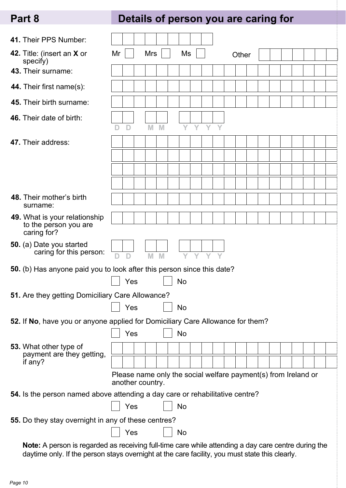## **Part 8 Details of person you are caring for**

| 41. Their PPS Number:                                                                               |    |     |                                                                |   |    |   |  |       |  |  |  |  |
|-----------------------------------------------------------------------------------------------------|----|-----|----------------------------------------------------------------|---|----|---|--|-------|--|--|--|--|
| <b>42.</b> Title: (insert an $X$ or<br>specify)                                                     | Mr |     | <b>Mrs</b>                                                     |   | Ms |   |  | Other |  |  |  |  |
| 43. Their surname:                                                                                  |    |     |                                                                |   |    |   |  |       |  |  |  |  |
| 44. Their first name(s):                                                                            |    |     |                                                                |   |    |   |  |       |  |  |  |  |
| <b>45.</b> Their birth surname:                                                                     |    |     |                                                                |   |    |   |  |       |  |  |  |  |
| <b>46.</b> Their date of birth:                                                                     |    |     |                                                                |   |    |   |  |       |  |  |  |  |
|                                                                                                     |    | D   | M                                                              | M | Y  | Y |  |       |  |  |  |  |
| 47. Their address:                                                                                  |    |     |                                                                |   |    |   |  |       |  |  |  |  |
|                                                                                                     |    |     |                                                                |   |    |   |  |       |  |  |  |  |
|                                                                                                     |    |     |                                                                |   |    |   |  |       |  |  |  |  |
|                                                                                                     |    |     |                                                                |   |    |   |  |       |  |  |  |  |
| 48. Their mother's birth<br>surname:                                                                |    |     |                                                                |   |    |   |  |       |  |  |  |  |
| 49. What is your relationship<br>to the person you are<br>caring for?                               |    |     |                                                                |   |    |   |  |       |  |  |  |  |
| 50. (a) Date you started<br>caring for this person:                                                 |    | D   | $M$ M                                                          |   |    |   |  |       |  |  |  |  |
| 50. (b) Has anyone paid you to look after this person since this date?                              |    |     |                                                                |   |    |   |  |       |  |  |  |  |
|                                                                                                     |    | Yes |                                                                |   | No |   |  |       |  |  |  |  |
| 51. Are they getting Domiciliary Care Allowance?                                                    |    |     |                                                                |   |    |   |  |       |  |  |  |  |
|                                                                                                     |    | Yes |                                                                |   | No |   |  |       |  |  |  |  |
| 52. If No, have you or anyone applied for Domiciliary Care Allowance for them?                      |    |     |                                                                |   |    |   |  |       |  |  |  |  |
|                                                                                                     |    | Yes |                                                                |   | No |   |  |       |  |  |  |  |
| 53. What other type of                                                                              |    |     |                                                                |   |    |   |  |       |  |  |  |  |
| payment are they getting,<br>if any?                                                                |    |     |                                                                |   |    |   |  |       |  |  |  |  |
|                                                                                                     |    |     | Please name only the social welfare payment(s) from Ireland or |   |    |   |  |       |  |  |  |  |
| 54. Is the person named above attending a day care or rehabilitative centre?                        |    |     | another country.                                               |   |    |   |  |       |  |  |  |  |
|                                                                                                     |    | Yes |                                                                |   | No |   |  |       |  |  |  |  |
| 55. Do they stay overnight in any of these centres?                                                 |    |     |                                                                |   |    |   |  |       |  |  |  |  |
|                                                                                                     |    | Yes |                                                                |   | No |   |  |       |  |  |  |  |
| Note: A person is regarded as receiving full-time care while attending a day care centre during the |    |     |                                                                |   |    |   |  |       |  |  |  |  |

daytime only. If the person stays overnight at the care facility, you must state this clearly.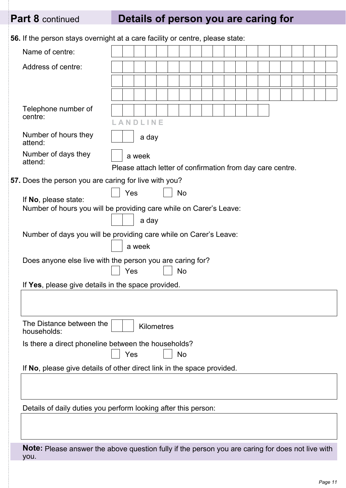## **Part 8** continued **Details of person you are caring for**

| 56. If the person stays overnight at a care facility or centre, please state:                                                                                                                                                                                                                                                                                                            |                                                                      |          |  |       |            |  |  |  |  |  |  |  |  |  |  |  |
|------------------------------------------------------------------------------------------------------------------------------------------------------------------------------------------------------------------------------------------------------------------------------------------------------------------------------------------------------------------------------------------|----------------------------------------------------------------------|----------|--|-------|------------|--|--|--|--|--|--|--|--|--|--|--|
| Name of centre:                                                                                                                                                                                                                                                                                                                                                                          |                                                                      |          |  |       |            |  |  |  |  |  |  |  |  |  |  |  |
| Address of centre:                                                                                                                                                                                                                                                                                                                                                                       |                                                                      |          |  |       |            |  |  |  |  |  |  |  |  |  |  |  |
|                                                                                                                                                                                                                                                                                                                                                                                          |                                                                      |          |  |       |            |  |  |  |  |  |  |  |  |  |  |  |
|                                                                                                                                                                                                                                                                                                                                                                                          |                                                                      |          |  |       |            |  |  |  |  |  |  |  |  |  |  |  |
| Telephone number of<br>centre:                                                                                                                                                                                                                                                                                                                                                           |                                                                      | LANDLINE |  |       |            |  |  |  |  |  |  |  |  |  |  |  |
| Number of hours they<br>attend:                                                                                                                                                                                                                                                                                                                                                          |                                                                      |          |  | a day |            |  |  |  |  |  |  |  |  |  |  |  |
| Number of days they<br>attend:                                                                                                                                                                                                                                                                                                                                                           | a week<br>Please attach letter of confirmation from day care centre. |          |  |       |            |  |  |  |  |  |  |  |  |  |  |  |
|                                                                                                                                                                                                                                                                                                                                                                                          |                                                                      |          |  |       |            |  |  |  |  |  |  |  |  |  |  |  |
| 57. Does the person you are caring for live with you?<br>Yes<br>No<br>If No, please state:<br>Number of hours you will be providing care while on Carer's Leave:<br>a day<br>Number of days you will be providing care while on Carer's Leave:<br>a week<br>Does anyone else live with the person you are caring for?<br>Yes<br>No<br>If Yes, please give details in the space provided. |                                                                      |          |  |       |            |  |  |  |  |  |  |  |  |  |  |  |
|                                                                                                                                                                                                                                                                                                                                                                                          |                                                                      |          |  |       |            |  |  |  |  |  |  |  |  |  |  |  |
| The Distance between the<br>households:                                                                                                                                                                                                                                                                                                                                                  |                                                                      |          |  |       | Kilometres |  |  |  |  |  |  |  |  |  |  |  |
| Is there a direct phoneline between the households?<br>Yes<br>No                                                                                                                                                                                                                                                                                                                         |                                                                      |          |  |       |            |  |  |  |  |  |  |  |  |  |  |  |
| If No, please give details of other direct link in the space provided.                                                                                                                                                                                                                                                                                                                   |                                                                      |          |  |       |            |  |  |  |  |  |  |  |  |  |  |  |
|                                                                                                                                                                                                                                                                                                                                                                                          |                                                                      |          |  |       |            |  |  |  |  |  |  |  |  |  |  |  |
| Details of daily duties you perform looking after this person:                                                                                                                                                                                                                                                                                                                           |                                                                      |          |  |       |            |  |  |  |  |  |  |  |  |  |  |  |
|                                                                                                                                                                                                                                                                                                                                                                                          |                                                                      |          |  |       |            |  |  |  |  |  |  |  |  |  |  |  |

**Note:** Please answer the above question fully if the person you are caring for does not live with you.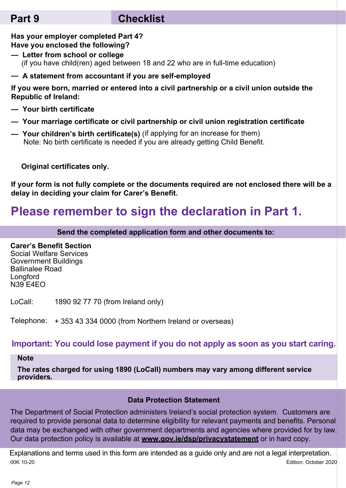## **Part 9 Checklist**

**Has your employer completed Part 4? Have you enclosed the following?**

- **Letter from school or college** (if you have child(ren) aged between 18 and 22 who are in full-time education)
- **A statement from accountant if you are self-employed**

**If you were born, married or entered into a civil partnership or a civil union outside the Republic of Ireland:**

- **Your birth certificate**
- **Your marriage certificate or civil partnership or civil union registration certificate**
- **Your children's birth certificate(s)** (if applying for an increase for them) Note: No birth certificate is needed if you are already getting Child Benefit.

 **Original certificates only.**

**If your form is not fully complete or the documents required are not enclosed there will be a delay in deciding your claim for Carer's Benefit.**

## **Please remember to sign the declaration in Part 1.**

**Send the completed application form and other documents to:** 

**Carer's Benefit Section** Social Welfare Services Government Buildings Ballinalee Road **Longford** N39 E4EO

LoCall: 1890 92 77 70 (from Ireland only)

Telephone: + 353 43 334 0000 (from Northern Ireland or overseas)

## **Important: You could lose payment if you do not apply as soon as you start caring.**

**Note**

**The rates charged for using 1890 (LoCall) numbers may vary among different service providers.**

#### **Data Protection Statement**

The Department of Social Protection administers Ireland's social protection system. Customers are required to provide personal data to determine eligibility for relevant payments and benefits. Personal data may be exchanged with other government departments and agencies where provided for by law. Our data protection policy is available at **www.gov.ie/dsp/privacystatement** or in hard copy.

00K 10-20 Edition: October 2020 Explanations and terms used in this form are intended as a guide only and are not a legal interpretation.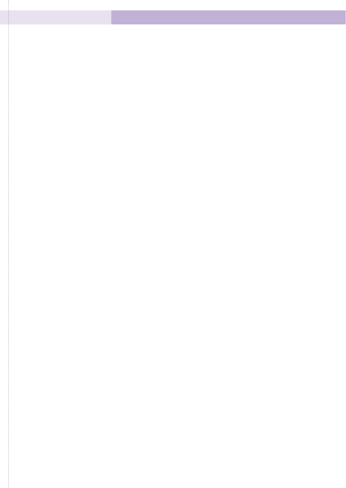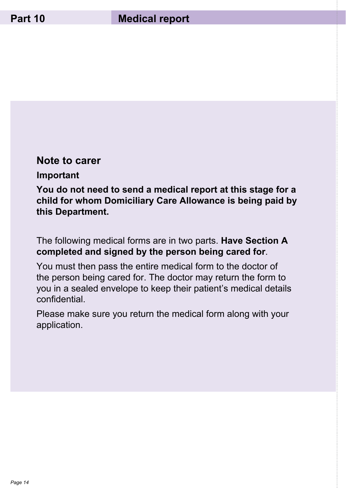## **Note to carer**

### **Important**

**You do not need to send a medical report at this stage for a child for whom Domiciliary Care Allowance is being paid by this Department.** 

The following medical forms are in two parts. **Have Section A completed and signed by the person being cared for**.

You must then pass the entire medical form to the doctor of the person being cared for. The doctor may return the form to you in a sealed envelope to keep their patient's medical details confidential.

Please make sure you return the medical form along with your application.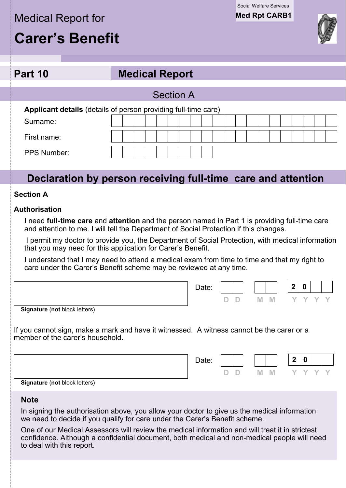## Medical Report for

## **Carer's Benefit**

**Med Rpt CARB1** Social Welfare Services



| Part 10            | <b>Medical Report</b>                                          |
|--------------------|----------------------------------------------------------------|
|                    | <b>Section A</b>                                               |
|                    | Applicant details (details of person providing full-time care) |
| Surname:           |                                                                |
| First name:        |                                                                |
| <b>PPS Number:</b> |                                                                |

## **Declaration by person receiving full-time care and attention**

#### **Section A**

#### **Authorisation**

I need **full-time care** and **attention** and the person named in Part 1 is providing full-time care and attention to me. I will tell the Department of Social Protection if this changes.

 I permit my doctor to provide you, the Department of Social Protection, with medical information that you may need for this application for Carer's Benefit.

I understand that I may need to attend a medical exam from time to time and that my right to care under the Carer's Benefit scheme may be reviewed at any time.

| Date: |
|-------|
|       |



**Signature** (**not** block letters)

If you cannot sign, make a mark and have it witnessed. A witness cannot be the carer or a member of the carer's household.

|                | Date: |  |  |     | ົ | $\mathbf 0$ |        |  |
|----------------|-------|--|--|-----|---|-------------|--------|--|
|                |       |  |  | M M |   |             | 'YYYY' |  |
| hlook lottoro) |       |  |  |     |   |             |        |  |

**Signature** (**not** block letters)

#### **Note**

In signing the authorisation above, you allow your doctor to give us the medical information we need to decide if you qualify for care under the Carer's Benefit scheme.

One of our Medical Assessors will review the medical information and will treat it in strictest confidence. Although a confidential document, both medical and non-medical people will need to deal with this report.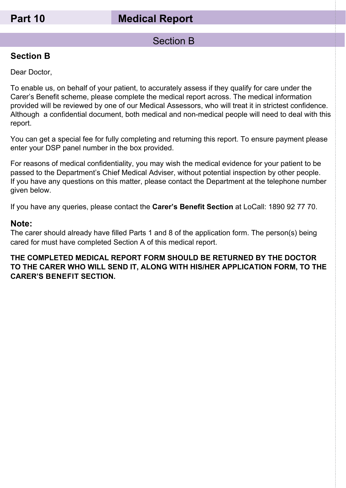### Section B

#### **Section B**

Dear Doctor,

To enable us, on behalf of your patient, to accurately assess if they qualify for care under the Carer's Benefit scheme, please complete the medical report across. The medical information provided will be reviewed by one of our Medical Assessors, who will treat it in strictest confidence. Although a confidential document, both medical and non-medical people will need to deal with this report.

You can get a special fee for fully completing and returning this report. To ensure payment please enter your DSP panel number in the box provided.

For reasons of medical confidentiality, you may wish the medical evidence for your patient to be passed to the Department's Chief Medical Adviser, without potential inspection by other people. If you have any questions on this matter, please contact the Department at the telephone number given below.

If you have any queries, please contact the **Carer's Benefit Section** at LoCall: 1890 92 77 70.

#### **Note:**

The carer should already have filled Parts 1 and 8 of the application form. The person(s) being cared for must have completed Section A of this medical report.

**THE COMPLETED MEDICAL REPORT FORM SHOULD BE RETURNED BY THE DOCTOR TO THE CARER WHO WILL SEND IT, ALONG WITH HIS/HER APPLICATION FORM, TO THE CARER'S BENEFIT SECTION.**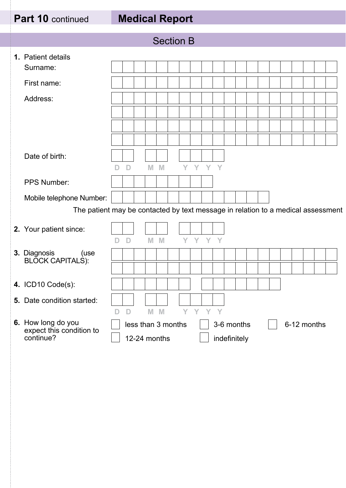## Part 10 continued **Medical Report**

|  | <b>Section B</b>                                                                 |   |              |              |   |          |                    |  |         |  |                            |  |  |             |  |  |
|--|----------------------------------------------------------------------------------|---|--------------|--------------|---|----------|--------------------|--|---------|--|----------------------------|--|--|-------------|--|--|
|  | 1. Patient details                                                               |   |              |              |   |          |                    |  |         |  |                            |  |  |             |  |  |
|  | Surname:                                                                         |   |              |              |   |          |                    |  |         |  |                            |  |  |             |  |  |
|  | First name:                                                                      |   |              |              |   |          |                    |  |         |  |                            |  |  |             |  |  |
|  | Address:                                                                         |   |              |              |   |          |                    |  |         |  |                            |  |  |             |  |  |
|  |                                                                                  |   |              |              |   |          |                    |  |         |  |                            |  |  |             |  |  |
|  |                                                                                  |   |              |              |   |          |                    |  |         |  |                            |  |  |             |  |  |
|  |                                                                                  |   |              |              |   |          |                    |  |         |  |                            |  |  |             |  |  |
|  | Date of birth:                                                                   |   |              |              |   |          |                    |  |         |  |                            |  |  |             |  |  |
|  |                                                                                  | D | D            |              | M | M        |                    |  | Y Y Y Y |  |                            |  |  |             |  |  |
|  | PPS Number:                                                                      |   |              |              |   |          |                    |  |         |  |                            |  |  |             |  |  |
|  | Mobile telephone Number:                                                         |   |              |              |   |          |                    |  |         |  |                            |  |  |             |  |  |
|  | The patient may be contacted by text message in relation to a medical assessment |   |              |              |   |          |                    |  |         |  |                            |  |  |             |  |  |
|  | 2. Your patient since:                                                           |   |              |              |   |          |                    |  |         |  |                            |  |  |             |  |  |
|  |                                                                                  | D | D            |              | M | <b>M</b> |                    |  | Y Y Y Y |  |                            |  |  |             |  |  |
|  | 3. Diagnosis<br>(use<br><b>BLOCK CAPITALS):</b>                                  |   |              |              |   |          |                    |  |         |  |                            |  |  |             |  |  |
|  |                                                                                  |   |              |              |   |          |                    |  |         |  |                            |  |  |             |  |  |
|  | 4. ICD10 Code(s):                                                                |   |              |              |   |          |                    |  |         |  |                            |  |  |             |  |  |
|  | <b>5.</b> Date condition started:                                                |   |              |              |   |          |                    |  |         |  |                            |  |  |             |  |  |
|  |                                                                                  | D | $\mathbf{D}$ |              | M | <b>M</b> |                    |  | Y Y Y Y |  |                            |  |  |             |  |  |
|  | 6. How long do you<br>expect this condition to<br>continue?                      |   |              | 12-24 months |   |          | less than 3 months |  |         |  | 3-6 months<br>indefinitely |  |  | 6-12 months |  |  |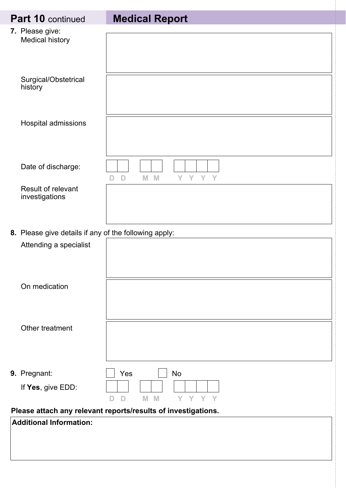| Part 10 continued<br>7. Please give:<br><b>Medical history</b> | <b>Medical Report</b>                                         |
|----------------------------------------------------------------|---------------------------------------------------------------|
|                                                                |                                                               |
| Surgical/Obstetrical<br>history                                |                                                               |
| Hospital admissions                                            |                                                               |
| Date of discharge:                                             | $M$ M<br>Y Y Y Y<br>D                                         |
| Result of relevant<br>investigations                           |                                                               |
| 8. Please give details if any of the following apply:          |                                                               |
|                                                                |                                                               |
| Attending a specialist                                         |                                                               |
| On medication                                                  |                                                               |
| Other treatment                                                |                                                               |
| 9. Pregnant:                                                   | Yes<br>No                                                     |
|                                                                |                                                               |
| If Yes, give EDD:                                              | M<br>Y<br>M<br>Y<br>Y<br>D<br>D<br>Y                          |
|                                                                | Please attach any relevant reports/results of investigations. |
| <b>Additional Information:</b>                                 |                                                               |
|                                                                |                                                               |
|                                                                |                                                               |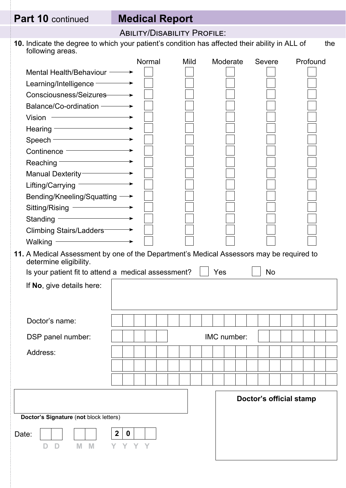## Part 10 continued **Medical Report**

#### **ABILITY/DISABILITY PROFILE:**

**10.** Indicate the degree to which your patient's condition has affected their ability in ALL of the following areas.

|                                                                                                                                                                           | Normal                | Mild | Moderate    | Severe                  | Profound |
|---------------------------------------------------------------------------------------------------------------------------------------------------------------------------|-----------------------|------|-------------|-------------------------|----------|
| Mental Health/Behaviour -                                                                                                                                                 |                       |      |             |                         |          |
| Learning/Intelligence –––––                                                                                                                                               |                       |      |             |                         |          |
| Consciousness/Seizures <b>&gt;&gt;&gt;&gt;&gt;&gt;&gt;&gt;&gt;&gt;&gt;&gt;&gt;&gt;&gt;&gt;&gt;&gt;&gt;</b>                                                                |                       |      |             |                         |          |
| Balance/Co-ordination –––––––                                                                                                                                             |                       |      |             |                         |          |
| $Vision \longrightarrow$                                                                                                                                                  |                       |      |             |                         |          |
| Hearing <b>All Accords</b>                                                                                                                                                |                       |      |             |                         |          |
| Speech <u>Speech</u>                                                                                                                                                      |                       |      |             |                         |          |
|                                                                                                                                                                           |                       |      |             |                         |          |
| Reaching <b>According</b>                                                                                                                                                 |                       |      |             |                         |          |
| Manual Dexterity <sup>-</sup>                                                                                                                                             |                       |      |             |                         |          |
| Lifting/Carrying <b>Washing</b>                                                                                                                                           |                       |      |             |                         |          |
| Bending/Kneeling/Squatting -                                                                                                                                              |                       |      |             |                         |          |
| Sitting/Rising ––––––––––––––                                                                                                                                             |                       |      |             |                         |          |
| Standing <b>Standing</b>                                                                                                                                                  |                       |      |             |                         |          |
| Climbing Stairs/Ladders <b>&gt;&gt;&gt;&gt;&gt;&gt;&gt;&gt;&gt;&gt;&gt;&gt;&gt;&gt;&gt;&gt;&gt;&gt;&gt;&gt;&gt;</b>                                                       |                       |      |             |                         |          |
| Walking <b>Walking</b>                                                                                                                                                    |                       |      |             |                         |          |
| 11. A Medical Assessment by one of the Department's Medical Assessors may be required to<br>determine eligibility.<br>Is your patient fit to attend a medical assessment? |                       |      | Yes         | No                      |          |
| If No, give details here:                                                                                                                                                 |                       |      |             |                         |          |
| Doctor's name:                                                                                                                                                            |                       |      |             |                         |          |
| DSP panel number:                                                                                                                                                         |                       |      | IMC number: |                         |          |
| Address:                                                                                                                                                                  |                       |      |             |                         |          |
|                                                                                                                                                                           |                       |      |             |                         |          |
|                                                                                                                                                                           |                       |      |             |                         |          |
|                                                                                                                                                                           |                       |      |             |                         |          |
|                                                                                                                                                                           |                       |      |             | Doctor's official stamp |          |
|                                                                                                                                                                           |                       |      |             |                         |          |
| Doctor's Signature (not block letters)                                                                                                                                    |                       |      |             |                         |          |
| $\mathbf{2}$<br>Date:<br>M<br>M<br>D                                                                                                                                      | $\bf{0}$<br>Y Y<br>Y. |      |             |                         |          |